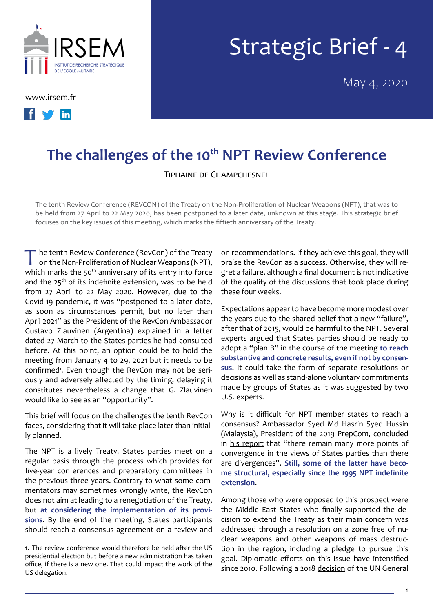

[www.irsem.fr](http://www.irsem.fr)



## Strategic Brief - 4

May 4, 2020

## The challenges of the 10<sup>th</sup> NPT Review Conference

Tiphaine de Champchesnel

The tenth Review Conference (REVCON) of the Treaty on the Non-Proliferation of Nuclear Weapons (NPT), that was to be held from 27 April to 22 May 2020, has been postponed to a later date, unknown at this stage. This strategic brief focuses on the key issues of this meeting, which marks the fiftieth anniversary of the Treaty.

The tenth Review Conference (RevCon) of the Treaty<br>on the Non-Proliferation of Nuclear Weapons (NPT), which marks the 50<sup>th</sup> anniversary of its entry into force and the 25<sup>th</sup> of its indefinite extension, was to be held from 27 April to 22 May 2020. However, due to the Covid-19 pandemic, it was "postponed to a later date, as soon as circumstances permit, but no later than April 2021" as the President of the RevCon Ambassador Gustavo Zlauvinen (Argentina) explained in [a letter](https://www.un.org/sites/un2.un.org/files/letter-from-the-president-designate-20-136nve.pdf) [dated 27](https://www.un.org/sites/un2.un.org/files/letter-from-the-president-designate-20-136nve.pdf) March to the States parties he had consulted before. At this point, an option could be to hold the meeting from January 4 to 29, 2021 but it needs to be [confirmed](https://www.un.org/sites/un2.un.org/files/message_from_the_president-designate.pdf)<sup>1</sup>. Even though the RevCon may not be seriously and adversely affected by the timing, delaying it constitutes nevertheless a change that G. Zlauvinen would like to see as an "[opportunity](https://video.un-arm.org/Amb.+Gustavo+Zlauvinen+24+April+2020.mp4)".

This brief will focus on the challenges the tenth RevCon faces, considering that it will take place later than initially planned.

The NPT is a lively Treaty. States parties meet on a regular basis through the process which provides for five-year conferences and preparatory committees in the previous three years. Contrary to what some commentators may sometimes wrongly write, the RevCon does not aim at leading to a renegotiation of the Treaty, but **at considering the implementation of its provisions**. By the end of the meeting, States participants should reach a consensus agreement on a review and

1. The review conference would therefore be held after the US presidential election but before a new administration has taken office, if there is a new one. That could impact the work of the US delegation.

on recommendations. If they achieve this goal, they will praise the RevCon as a success. Otherwise, they will regret a failure, although a final document is not indicative of the quality of the discussions that took place during these four weeks.

Expectations appear to have become more modest over the years due to the shared belief that a new "failure", after that of 2015, would be harmful to the NPT. Several experts argued that States parties should be ready to adopt a ["plan B"](https://unidir.org/publication/2020-npt-review-conference-prepare-plan-b) in the course of the meeting **to reach substantive and concrete results, even if not by consensus**. It could take the form of separate resolutions or decisions as well as stand-alone voluntary commitments made by groups of States as it was suggested by two [U.S. experts](https://www.armscontrol.org/act/2020-03/features/time-renew-reagan-gorbachev-principle).

Why is it difficult for NPT member states to reach a consensus? Ambassador Syed Md Hasrin Syed Hussin (Malaysia), President of the 2019 PrepCom, concluded in [his report](https://undocs.org/pdf?symbol=fr/NPT/CONF.2020/PC.III/14) that "there remain many more points of convergence in the views of States parties than there are divergences". **Still, some of the latter have become structural, especially since the 1995 NPT indefinite extension**.

Among those who were opposed to this prospect were the Middle East States who finally supported the decision to extend the Treaty as their main concern was addressed through [a resolution](https://undocs.org/pdf?symbol=fr/NPT/CONF.1995/32(PARTI)) on a zone free of nuclear weapons and other weapons of mass destruction in the region, including a pledge to pursue this goal. Diplomatic efforts on this issue have intensified since 2010. Following a 2018 [decision](https://www.un.org/disarmament/wp-content/uploads/2019/06/73-session-Decisions-text_v2.pdf) of the UN General